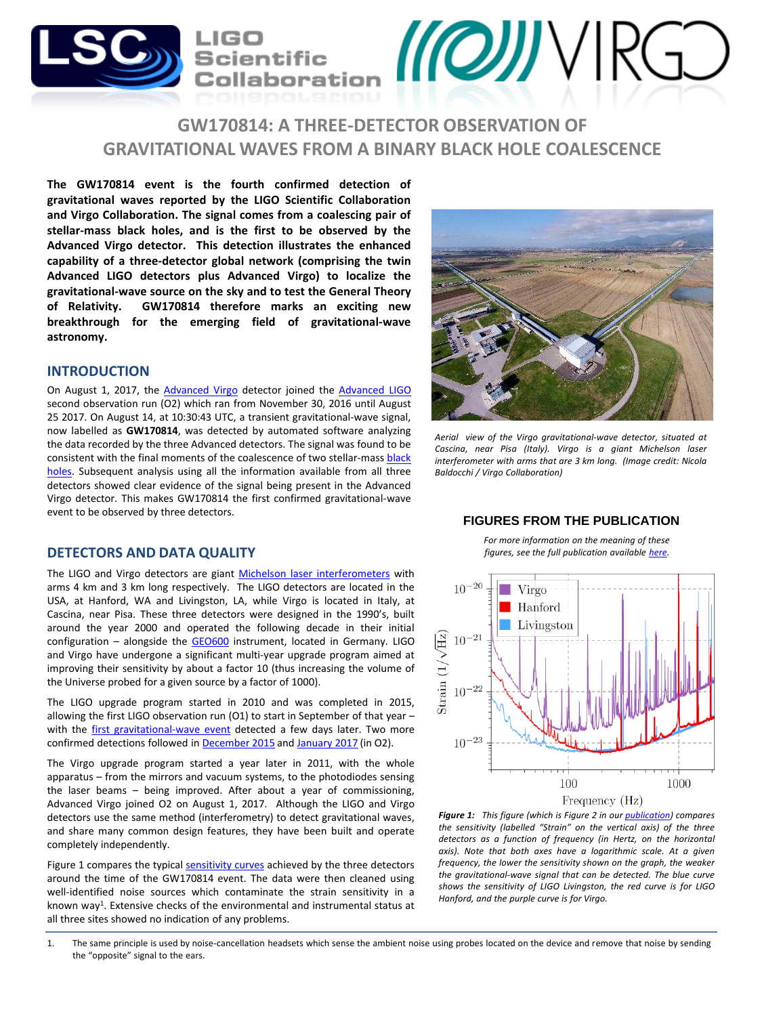

# **GW170814: A THREE-DETECTOR OBSERVATION OF GRAVITATIONAL WAVES FROM A BINARY BLACK HOLE COALESCENCE**

**The GW170814 event is the fourth confirmed detection of gravitational waves reported by the LIGO Scientific Collaboration and Virgo Collaboration. The signal comes from a coalescing pair of stellar-mass black holes, and is the first to be observed by the Advanced Virgo detector. This detection illustrates the enhanced capability of a three-detector global network (comprising the twin Advanced LIGO detectors plus Advanced Virgo) to localize the gravitational-wave source on the sky and to test the General Theory of Relativity. GW170814 therefore marks an exciting new breakthrough for the emerging field of gravitational-wave astronomy.**

## **INTRODUCTION**

On August 1, 2017, the [Advanced](http://public.virgo-gw.eu/language/en/) Virgo detector joined the [Advanced](https://www.ligo.caltech.edu/) LIGO second observation run (O2) which ran from November 30, 2016 until August 25 2017. On August 14, at 10:30:43 UTC, a transient gravitational-wave signal, now labelled as **GW170814**, was detected by automated software analyzing the data recorded by the three Advanced detectors. The signal was found to be consistent with the final moments of the [coalescence](https://en.wikipedia.org/wiki/Black_hole) of two stellar-mass black holes. Subsequent analysis using all the information available from all three detectors showed clear evidence of the signal being present in the Advanced Virgo detector. This makes GW170814 the first confirmed gravitational-wave event to be observed by three detectors.

## **DETECTORS AND DATA QUALITY**

The LIGO and Virgo detectors are giant Michelson laser [interferometers](https://en.wikipedia.org/wiki/Michelson_interferometer) with arms 4 km and 3 km long respectively. The LIGO detectors are located in the USA, at Hanford, WA and Livingston, LA, while Virgo is located in Italy, at Cascina, near Pisa. These three detectors were designed in the 1990's, built around the year 2000 and operated the following decade in their initial configuration - alongside the [GEO600](http://www.geo600.org/) instrument, located in Germany. LIGO and Virgo have undergone a significant multi-year upgrade program aimed at improving their sensitivity by about a factor 10 (thus increasing the volume of the Universe probed for a given source by a factor of 1000).

The LIGO upgrade program started in 2010 and was completed in 2015, allowing the first LIGO observation run (O1) to start in September of that year – with the first [gravitational-wave](http://www.ligo.org/detections/GW150914.php) event detected a few days later. Two more confirmed detections followed in [December](http://www.ligo.org/detections/GW151226.php) 2015 and [January](http://www.ligo.org/detections/GW170104.php) 2017 (in O2).

The Virgo upgrade program started a year later in 2011, with the whole apparatus – from the mirrors and vacuum systems, to the photodiodes sensing the laser beams – being improved. After about a year of commissioning, Advanced Virgo joined O2 on August 1, 2017. Although the LIGO and Virgo detectors use the same method (interferometry) to detect gravitational waves, and share many common design features, they have been built and operate completely independently.

Figure 1 compares the typical [sensitivity](https://cplberry.com/2015/01/10/1408-0740/) curves achieved by the three detectors around the time of the GW170814 event. The data were then cleaned using well-identified noise sources which contaminate the strain sensitivity in a known way<sup>1</sup>. Extensive checks of the environmental and instrumental status at all three sites showed no indication of any problems.



*Aerial view of the Virgo gravitational-wave detector, situated at Cascina, near Pisa (Italy). Virgo is a giant Michelson laser interferometer with arms that are 3 km long. (Image credit: Nicola Baldocchi / Virgo Collaboration)*

### **FIGURES FROM THE PUBLICATION**

*For more information on the meaning of these figures, see the full publication available [here.](http://www.ligo.org/detections/GW170814/paper/GW170814-PRLpublished.pdf)*



*Figure 1: This figure (which is Figure 2 in our [publication\)](https://dcc.ligo.org/LIGO-P170814-v10) compares the sensitivity (labelled "Strain" on the vertical axis) of the three detectors as a function of frequency (in Hertz, on the horizontal axis). Note that both axes have a logarithmic scale. At a given frequency, the lower the sensitivity shown on the graph, the weaker the gravitational-wave signal that can be detected. The blue curve shows the sensitivity of LIGO Livingston, the red curve is for LIGO Hanford, and the purple curve is for Virgo.*

1. The same principle is used by noise-cancellation headsets which sense the ambient noise using probes located on the device and remove that noise by sending the "opposite" signal to the ears.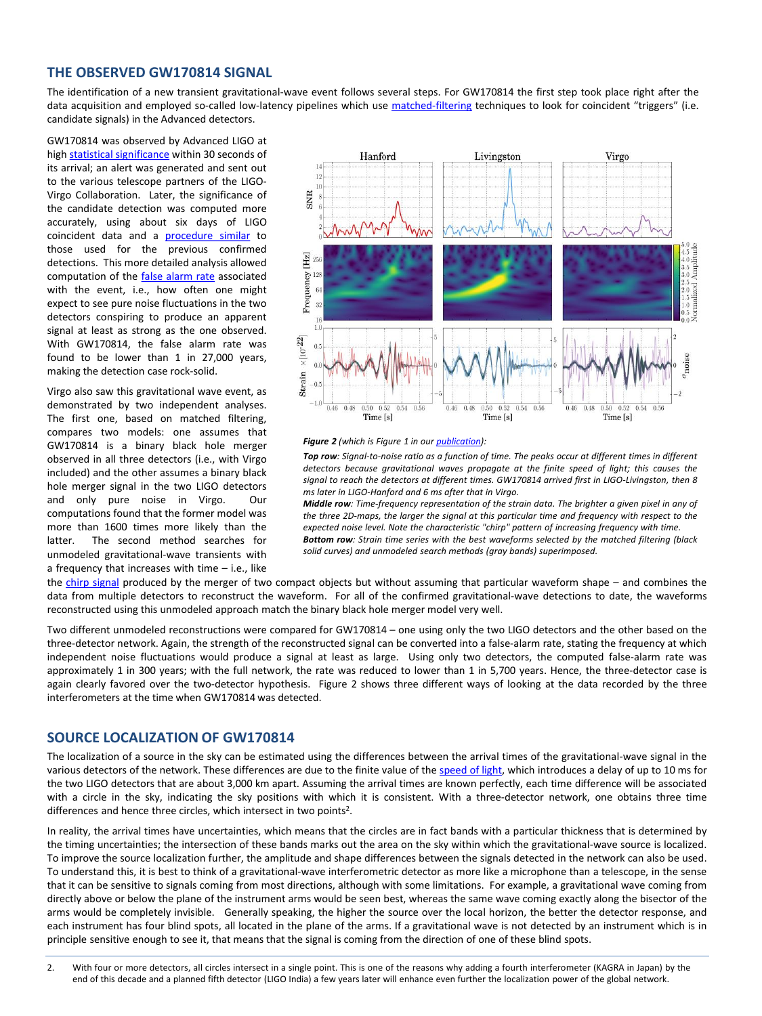## **THE OBSERVED GW170814 SIGNAL**

The identification of a new transient gravitational-wave event follows several steps. For GW170814 the first step took place right after the data acquisition and employed so-called low-latency pipelines which use [matched-filtering](https://en.wikipedia.org/wiki/Matched_filter) techniques to look for coincident "triggers" (i.e. candidate signals) in the Advanced detectors.

GW170814 was observed by Advanced LIGO at high statistical [significance](https://en.wikipedia.org/wiki/Statistical_significance) within 30 seconds of its arrival; an alert was generated and sent out to the various telescope partners of the LIGO-Virgo Collaboration. Later, the significance of the candidate detection was computed more accurately, using about six days of LIGO coincident data and a [procedure](http://www.ligo.org/science/Publication-GW150914CBC/index.php) similar to those used for the previous confirmed detections. This more detailed analysis allowed computation of the false [alarm](https://en.wikipedia.org/wiki/False_positive_rate) rate associated with the event, i.e., how often one might expect to see pure noise fluctuations in the two detectors conspiring to produce an apparent signal at least as strong as the one observed. With GW170814, the false alarm rate was found to be lower than 1 in 27,000 years, making the detection case rock-solid.

Virgo also saw this gravitational wave event, as demonstrated by two independent analyses. The first one, based on matched filtering, compares two models: one assumes that GW170814 is a binary black hole merger observed in all three detectors (i.e., with Virgo included) and the other assumes a binary black hole merger signal in the two LIGO detectors and only pure noise in Virgo. Our computations found that the former model was more than 1600 times more likely than the latter. The second method searches for unmodeled gravitational-wave transients with a frequency that increases with time – i.e., like



#### *Figure 2 (which is Figure 1 in our [publication\)](http://www.ligo.org/detections/GW170814/paper/GW170814-PRLpublished.pdf):*

Top row: Signal-to-noise ratio as a function of time. The peaks occur at different times in different *detectors because gravitational waves propagate at the finite speed of light; this causes the signal to reach the detectors at different times. GW170814 arrived first in LIGO-Livingston, then 8 ms later in LIGO-Hanford and 6 ms after that in Virgo.*

*Middle row: Time-frequency representation of the strain data. The brighter a given pixel in any of the three 2D-maps, the larger the signal at this particular time and frequency with respect to the expected noise level. Note the characteristic "chirp" pattern of increasing frequency with time. Bottom row: Strain time series with the best waveforms selected by the matched filtering (black solid curves) and unmodeled search methods (gray bands) superimposed.*

the chirp [signal](https://en.wikipedia.org/wiki/Chirp) produced by the merger of two compact objects but without assuming that particular waveform shape – and combines the data from multiple detectors to reconstruct the waveform. For all of the confirmed gravitational-wave detections to date, the waveforms reconstructed using this unmodeled approach match the binary black hole merger model very well.

Two different unmodeled reconstructions were compared for GW170814 – one using only the two LIGO detectors and the other based on the three-detector network. Again, the strength of the reconstructed signal can be converted into a false-alarm rate, stating the frequency at which independent noise fluctuations would produce a signal at least as large. Using only two detectors, the computed false-alarm rate was approximately 1 in 300 years; with the full network, the rate was reduced to lower than 1 in 5,700 years. Hence, the three-detector case is again clearly favored over the two-detector hypothesis. Figure 2 shows three different ways of looking at the data recorded by the three interferometers at the time when GW170814 was detected.

#### **SOURCE LOCALIZATION OF GW170814**

wave is not detected by an instrument which is instrument which is instrument which is in principal to see it,

The localization of a source in the sky can be estimated using the differences between the arrival times of the gravitational-wave signal in the various detectors of the network. These differences are due to the finite value of the [speed](https://en.wikipedia.org/wiki/Speed_of_light) of light, which introduces a delay of up to 10 ms for the two LIGO detectors that are about 3,000 km apart. Assuming the arrival times are known perfectly, each time difference will be associated with a circle in the sky, indicating the sky positions with which it is consistent. With a three-detector network, one obtains three time differences and hence three circles, which intersect in two points<sup>2</sup>.

In reality, the arrival times have uncertainties, which means that the circles are in fact bands with a particular thickness that is determined by the timing uncertainties; the intersection of these bands marks out the area on the sky within which the gravitational-wave source is localized. To improve the source localization further, the amplitude and shape differences between the signals detected in the network can also be used. To understand this, it is best to think of a gravitational-wave interferometric detector as more like a microphone than a telescope, in the sense that it can be sensitive to signals coming from most directions, although with some limitations. For example, a gravitational wave coming from directly above or below the plane of the instrument arms would be seen best, whereas the same wave coming exactly along the bisector of the arms would be completely invisible. Generally speaking, the higher the source over the local horizon, the better the detector response, and each instrument has four blind spots, all located in the plane of the arms. If a gravitational wave is not detected by an instrument which is in principle sensitive enough to see it, that means that the signal is coming from the direction of one of these blind spots.

2. With four or more detectors, all circles intersect in a single point. This is one of the reasons why adding a fourth interferometer (KAGRA in Japan) by the end of this decade and a planned fifth detector (LIGO India) a few years later will enhance even further the localization power of the global network.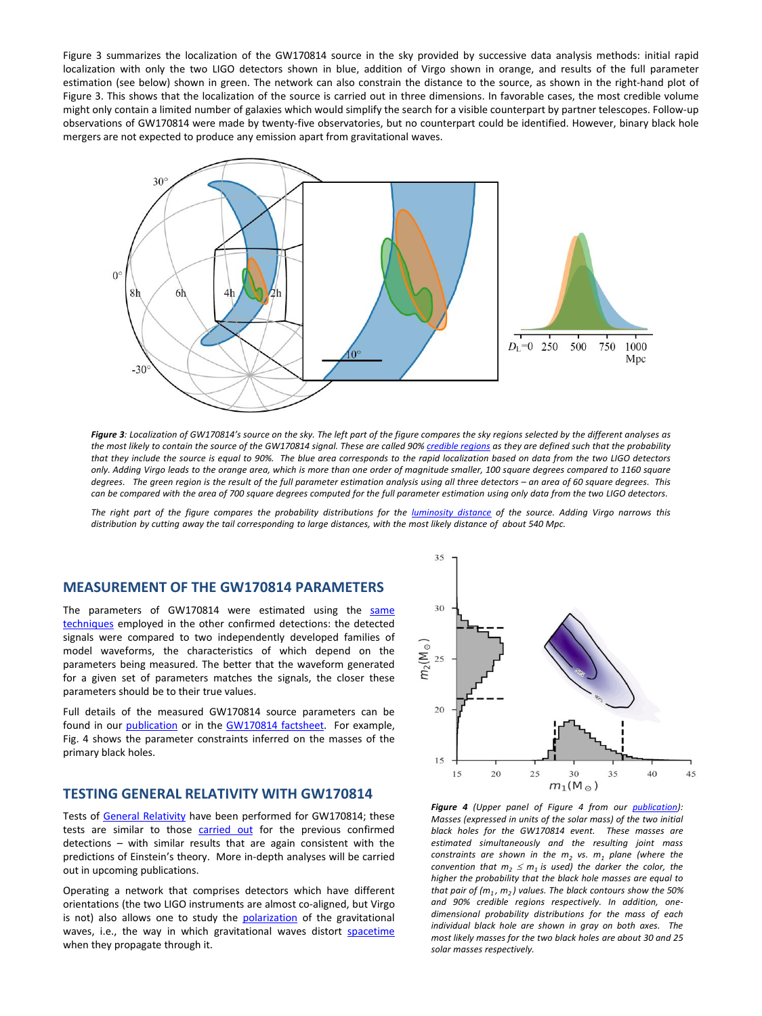Figure 3 summarizes the localization of the GW170814 source in the sky provided by successive data analysis methods: initial rapid localization with only the two LIGO detectors shown in blue, addition of Virgo shown in orange, and results of the full parameter estimation (see below) shown in green. The network can also constrain the distance to the source, as shown in the right-hand plot of Figure 3. This shows that the localization of the source is carried out in three dimensions. In favorable cases, the most credible volume might only contain a limited number of galaxies which would simplify the search for a visible counterpart by partner telescopes. Follow-up observations of GW170814 were made by twenty-five observatories, but no counterpart could be identified. However, binary black hole mergers are not expected to produce any emission apart from gravitational waves.



Figure 3: Localization of GW170814's source on the sky. The left part of the figure compares the sky regions selected by the different analyses as the most likely to contain the source of the GW170814 signal. These are called 90% [credible](https://en.wikipedia.org/wiki/Credible_interval) regions as they are defined such that the probability that they include the source is equal to 90%. The blue area corresponds to the rapid localization based on data from the two LIGO detectors only. Adding Virgo leads to the orange area, which is more than one order of magnitude smaller, 100 square degrees compared to 1160 square degrees. The green region is the result of the full parameter estimation anglysis using all three detectors – an grea of 60 square degrees. This can be compared with the area of 700 square degrees computed for the full parameter estimation using only data from the two LIGO detectors.

The right part of the figure compares the probability distributions for the [luminosity](https://en.wikipedia.org/wiki/Luminosity_distance) distance of the source. Adding Virgo narrows this distribution by cutting away the tail corresponding to large distances, with the most likely distance of about 540 Mpc.

## **MEASUREMENT OF THE GW170814 PARAMETERS**

The parameters of GW170814 were estimated using the same techniques employed in the other confirmed [detections:](https://dcc.ligo.org/P1500218/public) the detected signals were compared to two independently developed families of model waveforms, the characteristics of which depend on the parameters being measured. The better that the waveform generated for a given set of parameters matches the signals, the closer these parameters should be to their true values.

Full details of the measured GW170814 source parameters can be found in our [publication](https://dcc.ligo.org/LIGO-P170814-v10) or in the [GW170814](https://dcc.ligo.org/LIGO-G1701862/public/main) factsheet. For example, Fig. 4 shows the parameter constraints inferred on the masses of the primary black holes.

## **TESTING GENERAL RELATIVITY WITH GW170814**

Tests of General [Relativity](https://en.wikipedia.org/wiki/General_relativity) have been performed for GW170814; these tests are similar to those [carried](http://www.ligo.org/science/Publication-GW150914TestingGR/index.php) out for the previous confirmed detections – with similar results that are again consistent with the predictions of Einstein's theory. More in-depth analyses will be carried out in upcoming publications.

Operating a network that comprises detectors which have different orientations (the two LIGO instruments are almost co-aligned, but Virgo is not) also allows one to study the **[polarization](https://en.wikipedia.org/wiki/Polarization_(waves))** of the gravitational waves, i.e., the way in which gravitational waves distort [spacetime](https://en.wikipedia.org/wiki/Spacetime) when they propagate through it.



*Figure 4 (Upper panel of Figure 4 from our [publication](http://www.ligo.org/detections/GW170814/paper/GW170814-PRLpublished.pdf)): Masses (expressed in units of the solar mass) of the two initial black holes for the GW170814 event. These masses are estimated simultaneously and the resulting joint mass constraints are shown in the m<sup>2</sup> vs. m<sup>1</sup> plane (where the convention that*  $m_2 \leq m_1$  *is used) the darker the color, the higher the probability that the black hole masses are equal to that pair of (m<sup>1</sup> , m<sup>2</sup> ) values. The black contours show the 50% and 90% credible regions respectively. In addition, onedimensional probability distributions for the mass of each individual black hole are shown in gray on both axes. The most likely masses for the two black holes are about 30 and 25 solar masses respectively.*